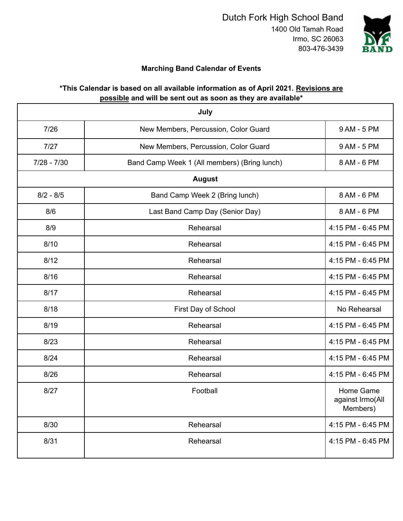

### **Marching Band Calendar of Events**

## **\*This Calendar is based on all available information as of April 2021. Revisions are possible and will be sent out as soon as they are available\***

| July          |                                              |                                           |  |  |  |
|---------------|----------------------------------------------|-------------------------------------------|--|--|--|
| 7/26          | New Members, Percussion, Color Guard         | 9 AM - 5 PM                               |  |  |  |
| 7/27          | New Members, Percussion, Color Guard         | 9 AM - 5 PM                               |  |  |  |
| $7/28 - 7/30$ | Band Camp Week 1 (All members) (Bring lunch) | 8 AM - 6 PM                               |  |  |  |
| <b>August</b> |                                              |                                           |  |  |  |
| $8/2 - 8/5$   | Band Camp Week 2 (Bring lunch)               | 8 AM - 6 PM                               |  |  |  |
| 8/6           | Last Band Camp Day (Senior Day)              | 8 AM - 6 PM                               |  |  |  |
| 8/9           | Rehearsal                                    | 4:15 PM - 6:45 PM                         |  |  |  |
| 8/10          | Rehearsal                                    | 4:15 PM - 6:45 PM                         |  |  |  |
| 8/12          | Rehearsal                                    | 4:15 PM - 6:45 PM                         |  |  |  |
| 8/16          | Rehearsal                                    | 4:15 PM - 6:45 PM                         |  |  |  |
| 8/17          | Rehearsal                                    | 4:15 PM - 6:45 PM                         |  |  |  |
| 8/18          | First Day of School                          | No Rehearsal                              |  |  |  |
| 8/19          | Rehearsal                                    | 4:15 PM - 6:45 PM                         |  |  |  |
| 8/23          | Rehearsal                                    | 4:15 PM - 6:45 PM                         |  |  |  |
| 8/24          | Rehearsal                                    | 4:15 PM - 6:45 PM                         |  |  |  |
| 8/26          | Rehearsal                                    | 4:15 PM - 6:45 PM                         |  |  |  |
| 8/27          | Football                                     | Home Game<br>against Irmo(All<br>Members) |  |  |  |
| 8/30          | Rehearsal                                    | 4:15 PM - 6:45 PM                         |  |  |  |
| 8/31          | Rehearsal                                    | 4:15 PM - 6:45 PM                         |  |  |  |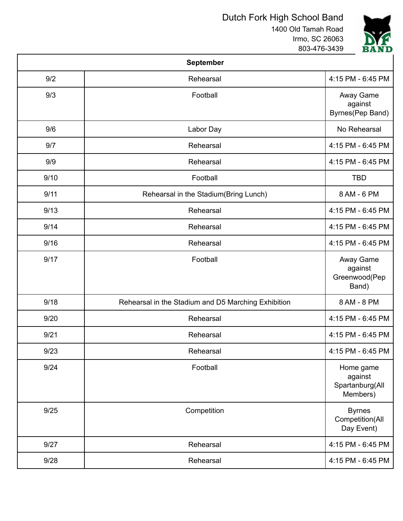Dutch Fork High School Band

1400 Old Tamah Road Irmo, SC 26063 803-476-3439



|      | <b>September</b>                                    |                                                     |
|------|-----------------------------------------------------|-----------------------------------------------------|
| 9/2  | Rehearsal                                           | 4:15 PM - 6:45 PM                                   |
| 9/3  | Football                                            | Away Game<br>against<br>Byrnes(Pep Band)            |
| 9/6  | Labor Day                                           | No Rehearsal                                        |
| 9/7  | Rehearsal                                           | 4:15 PM - 6:45 PM                                   |
| 9/9  | Rehearsal                                           | 4:15 PM - 6:45 PM                                   |
| 9/10 | Football                                            | <b>TBD</b>                                          |
| 9/11 | Rehearsal in the Stadium(Bring Lunch)               | 8 AM - 6 PM                                         |
| 9/13 | Rehearsal                                           | 4:15 PM - 6:45 PM                                   |
| 9/14 | Rehearsal                                           | 4:15 PM - 6:45 PM                                   |
| 9/16 | Rehearsal                                           | 4:15 PM - 6:45 PM                                   |
| 9/17 | Football                                            | Away Game<br>against<br>Greenwood(Pep<br>Band)      |
| 9/18 | Rehearsal in the Stadium and D5 Marching Exhibition | 8 AM - 8 PM                                         |
| 9/20 | Rehearsal                                           | 4:15 PM - 6:45 PM                                   |
| 9/21 | Rehearsal                                           | 4:15 PM - 6:45 PM                                   |
| 9/23 | Rehearsal                                           | 4:15 PM - 6:45 PM                                   |
| 9/24 | Football                                            | Home game<br>against<br>Spartanburg(All<br>Members) |
| 9/25 | Competition                                         | <b>Byrnes</b><br>Competition(All<br>Day Event)      |
| 9/27 | Rehearsal                                           | 4:15 PM - 6:45 PM                                   |
| 9/28 | Rehearsal                                           | 4:15 PM - 6:45 PM                                   |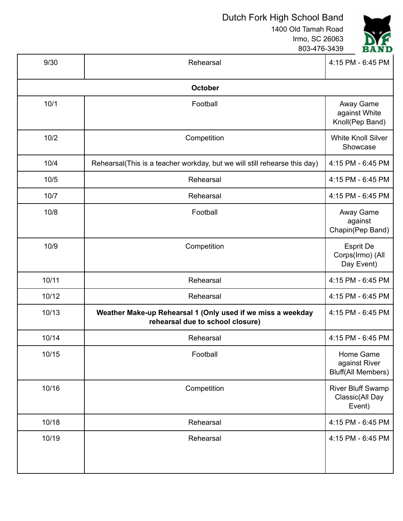# Dutch Fork High School Band

1400 Old Tamah Road Irmo, SC 26063



803-476-3439

| 9/30    | Rehearsal                                                                                       | 4:15 PM - 6:45 PM                                       |  |  |
|---------|-------------------------------------------------------------------------------------------------|---------------------------------------------------------|--|--|
| October |                                                                                                 |                                                         |  |  |
| 10/1    | Football                                                                                        | Away Game<br>against White<br>Knoll(Pep Band)           |  |  |
| 10/2    | Competition                                                                                     | <b>White Knoll Silver</b><br>Showcase                   |  |  |
| 10/4    | Rehearsal(This is a teacher workday, but we will still rehearse this day)                       | 4:15 PM - 6:45 PM                                       |  |  |
| 10/5    | Rehearsal                                                                                       | 4:15 PM - 6:45 PM                                       |  |  |
| 10/7    | Rehearsal                                                                                       | 4:15 PM - 6:45 PM                                       |  |  |
| 10/8    | Football                                                                                        | Away Game<br>against<br>Chapin(Pep Band)                |  |  |
| 10/9    | Competition                                                                                     | <b>Esprit De</b><br>Corps(Irmo) (All<br>Day Event)      |  |  |
| 10/11   | Rehearsal                                                                                       | 4:15 PM - 6:45 PM                                       |  |  |
| 10/12   | Rehearsal                                                                                       | 4:15 PM - 6:45 PM                                       |  |  |
| 10/13   | Weather Make-up Rehearsal 1 (Only used if we miss a weekday<br>rehearsal due to school closure) | 4:15 PM - 6:45 PM                                       |  |  |
| 10/14   | Rehearsal                                                                                       | 4:15 PM - 6:45 PM                                       |  |  |
| 10/15   | Football                                                                                        | Home Game<br>against River<br><b>Bluff(All Members)</b> |  |  |
| 10/16   | Competition                                                                                     | <b>River Bluff Swamp</b><br>Classic(All Day<br>Event)   |  |  |
| 10/18   | Rehearsal                                                                                       | 4:15 PM - 6:45 PM                                       |  |  |
| 10/19   | Rehearsal                                                                                       | 4:15 PM - 6:45 PM                                       |  |  |